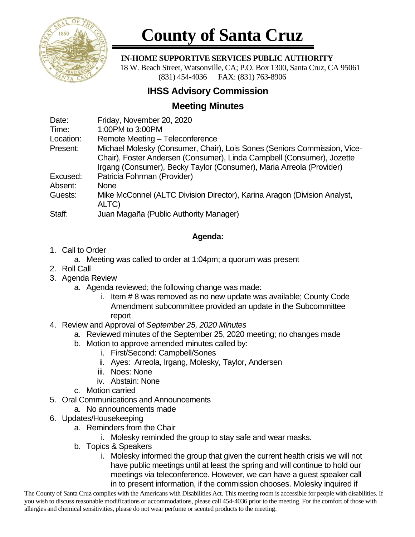

# **County of Santa Cruz**

#### **IN-HOME SUPPORTIVE SERVICES PUBLIC AUTHORITY**

 18 W. Beach Street, Watsonville, CA; P.O. Box 1300, Santa Cruz, CA 95061 (831) 454-4036 FAX: (831) 763-8906

## **IHSS Advisory Commission**

## **Meeting Minutes**

| Date:     | Friday, November 20, 2020                                                |
|-----------|--------------------------------------------------------------------------|
| Time:     | 1:00PM to 3:00PM                                                         |
| Location: | Remote Meeting - Teleconference                                          |
| Present:  | Michael Molesky (Consumer, Chair), Lois Sones (Seniors Commission, Vice- |
|           | Chair), Foster Andersen (Consumer), Linda Campbell (Consumer), Jozette   |
|           | Irgang (Consumer), Becky Taylor (Consumer), Maria Arreola (Provider)     |
| Excused:  | Patricia Fohrman (Provider)                                              |
| Absent:   | <b>None</b>                                                              |
| Guests:   | Mike McConnel (ALTC Division Director), Karina Aragon (Division Analyst, |
|           | ALTC)                                                                    |
| Staff:    | Juan Magaña (Public Authority Manager)                                   |

### **Agenda:**

- 1. Call to Order
	- a. Meeting was called to order at 1:04pm; a quorum was present
- 2. Roll Call
- 3. Agenda Review
	- a. Agenda reviewed; the following change was made:
		- i. Item # 8 was removed as no new update was available; County Code Amendment subcommittee provided an update in the Subcommittee report
- 4. Review and Approval of *September 25, 2020 Minutes*
	- a. Reviewed minutes of the September 25, 2020 meeting; no changes made
	- b. Motion to approve amended minutes called by:
		- i. First/Second: Campbell/Sones
		- ii. Ayes: Arreola, Irgang, Molesky, Taylor, Andersen
		- iii. Noes: None
		- iv. Abstain: None
	- c. Motion carried
- 5. Oral Communications and Announcements
	- a. No announcements made
- 6. Updates/Housekeeping
	- a. Reminders from the Chair
		- i. Molesky reminded the group to stay safe and wear masks.
	- b. Topics & Speakers
		- i. Molesky informed the group that given the current health crisis we will not have public meetings until at least the spring and will continue to hold our meetings via teleconference. However, we can have a guest speaker call in to present information, if the commission chooses. Molesky inquired if

The County of Santa Cruz complies with the Americans with Disabilities Act. This meeting room is accessible for people with disabilities. If you wish to discuss reasonable modifications or accommodations, please call 454-4036 prior to the meeting. For the comfort of those with allergies and chemical sensitivities, please do not wear perfume or scented products to the meeting.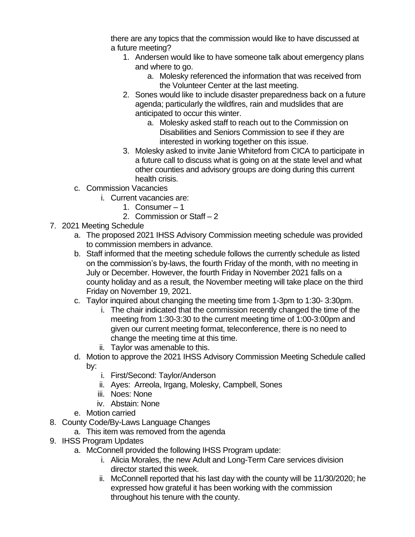there are any topics that the commission would like to have discussed at a future meeting?

- 1. Andersen would like to have someone talk about emergency plans and where to go.
	- a. Molesky referenced the information that was received from the Volunteer Center at the last meeting.
- 2. Sones would like to include disaster preparedness back on a future agenda; particularly the wildfires, rain and mudslides that are anticipated to occur this winter.
	- a. Molesky asked staff to reach out to the Commission on Disabilities and Seniors Commission to see if they are interested in working together on this issue.
- 3. Molesky asked to invite Janie Whiteford from CICA to participate in a future call to discuss what is going on at the state level and what other counties and advisory groups are doing during this current health crisis.
- c. Commission Vacancies
	- i. Current vacancies are:
		- 1. Consumer 1
		- 2. Commission or Staff 2
- 7. 2021 Meeting Schedule
	- a. The proposed 2021 IHSS Advisory Commission meeting schedule was provided to commission members in advance.
	- b. Staff informed that the meeting schedule follows the currently schedule as listed on the commission's by-laws, the fourth Friday of the month, with no meeting in July or December. However, the fourth Friday in November 2021 falls on a county holiday and as a result, the November meeting will take place on the third Friday on November 19, 2021.
	- c. Taylor inquired about changing the meeting time from 1-3pm to 1:30- 3:30pm.
		- i. The chair indicated that the commission recently changed the time of the meeting from 1:30-3:30 to the current meeting time of 1:00-3:00pm and given our current meeting format, teleconference, there is no need to change the meeting time at this time.
		- ii. Taylor was amenable to this.
	- d. Motion to approve the 2021 IHSS Advisory Commission Meeting Schedule called by:
		- i. First/Second: Taylor/Anderson
		- ii. Ayes: Arreola, Irgang, Molesky, Campbell, Sones
		- iii. Noes: None
		- iv. Abstain: None
	- e. Motion carried
- 8. County Code/By-Laws Language Changes
	- a. This item was removed from the agenda
- 9. IHSS Program Updates
	- a. McConnell provided the following IHSS Program update:
		- i. Alicia Morales, the new Adult and Long-Term Care services division director started this week.
		- ii. McConnell reported that his last day with the county will be 11/30/2020; he expressed how grateful it has been working with the commission throughout his tenure with the county.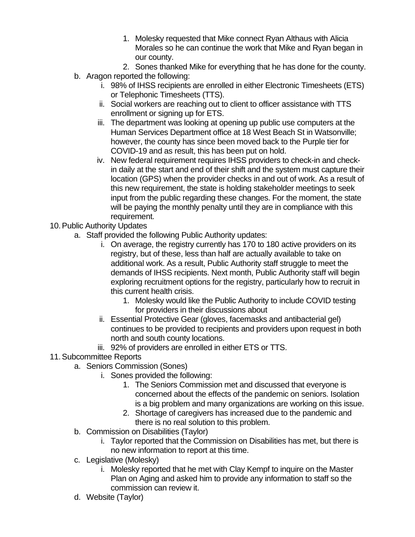- 1. Molesky requested that Mike connect Ryan Althaus with Alicia Morales so he can continue the work that Mike and Ryan began in our county.
- 2. Sones thanked Mike for everything that he has done for the county.
- b. Aragon reported the following:
	- i. 98% of IHSS recipients are enrolled in either Electronic Timesheets (ETS) or Telephonic Timesheets (TTS).
	- ii. Social workers are reaching out to client to officer assistance with TTS enrollment or signing up for ETS.
	- iii. The department was looking at opening up public use computers at the Human Services Department office at 18 West Beach St in Watsonville; however, the county has since been moved back to the Purple tier for COVID-19 and as result, this has been put on hold.
	- iv. New federal requirement requires IHSS providers to check-in and checkin daily at the start and end of their shift and the system must capture their location (GPS) when the provider checks in and out of work. As a result of this new requirement, the state is holding stakeholder meetings to seek input from the public regarding these changes. For the moment, the state will be paying the monthly penalty until they are in compliance with this requirement.
- 10. Public Authority Updates
	- a. Staff provided the following Public Authority updates:
		- i. On average, the registry currently has 170 to 180 active providers on its registry, but of these, less than half are actually available to take on additional work. As a result, Public Authority staff struggle to meet the demands of IHSS recipients. Next month, Public Authority staff will begin exploring recruitment options for the registry, particularly how to recruit in this current health crisis.
			- 1. Molesky would like the Public Authority to include COVID testing for providers in their discussions about
		- ii. Essential Protective Gear (gloves, facemasks and antibacterial gel) continues to be provided to recipients and providers upon request in both north and south county locations.
		- iii. 92% of providers are enrolled in either ETS or TTS.
- 11.Subcommittee Reports
	- a. Seniors Commission (Sones)
		- i. Sones provided the following:
			- 1. The Seniors Commission met and discussed that everyone is concerned about the effects of the pandemic on seniors. Isolation is a big problem and many organizations are working on this issue.
			- 2. Shortage of caregivers has increased due to the pandemic and there is no real solution to this problem.
	- b. Commission on Disabilities (Taylor)
		- i. Taylor reported that the Commission on Disabilities has met, but there is no new information to report at this time.
	- c. Legislative (Molesky)
		- i. Molesky reported that he met with Clay Kempf to inquire on the Master Plan on Aging and asked him to provide any information to staff so the commission can review it.
	- d. Website (Taylor)